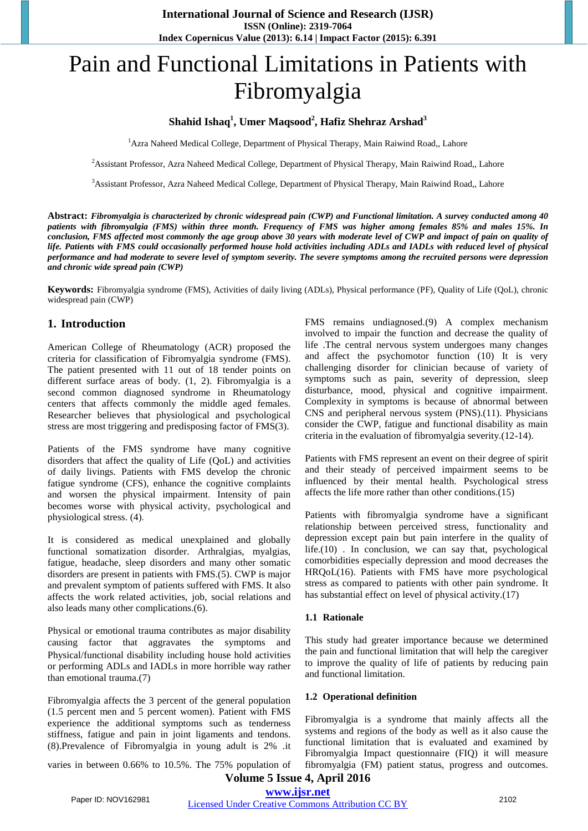# Pain and Functional Limitations in Patients with Fibromyalgia

## **Shahid Ishaq1 , Umer Maqsood<sup>2</sup> , Hafiz Shehraz Arshad<sup>3</sup>**

<sup>1</sup> Azra Naheed Medical College, Department of Physical Therapy, Main Raiwind Road,, Lahore

<sup>2</sup> Assistant Professor, Azra Naheed Medical College, Department of Physical Therapy, Main Raiwind Road,, Lahore

3 Assistant Professor, Azra Naheed Medical College, Department of Physical Therapy, Main Raiwind Road,, Lahore

**Abstract:** *Fibromyalgia is characterized by chronic widespread pain (CWP) and Functional limitation. A survey conducted among 40 patients with fibromyalgia (FMS) within three month. Frequency of FMS was higher among females 85% and males 15%. In conclusion, FMS affected most commonly the age group above 30 years with moderate level of CWP and impact of pain on quality of life. Patients with FMS could occasionally performed house hold activities including ADLs and IADLs with reduced level of physical performance and had moderate to severe level of symptom severity. The severe symptoms among the recruited persons were depression and chronic wide spread pain (CWP)* 

**Keywords:** Fibromyalgia syndrome (FMS), Activities of daily living (ADLs), Physical performance (PF), Quality of Life (QoL), chronic widespread pain (CWP)

## **1. Introduction**

American College of Rheumatology (ACR) proposed the criteria for classification of Fibromyalgia syndrome (FMS). The patient presented with 11 out of 18 tender points on different surface areas of body. (1, 2). Fibromyalgia is a second common diagnosed syndrome in Rheumatology centers that affects commonly the middle aged females. Researcher believes that physiological and psychological stress are most triggering and predisposing factor of FMS(3).

Patients of the FMS syndrome have many cognitive disorders that affect the quality of Life (QoL) and activities of daily livings. Patients with FMS develop the chronic fatigue syndrome (CFS), enhance the cognitive complaints and worsen the physical impairment. Intensity of pain becomes worse with physical activity, psychological and physiological stress. (4).

It is considered as medical unexplained and globally functional somatization disorder. Arthralgias, myalgias, fatigue, headache, sleep disorders and many other somatic disorders are present in patients with FMS.(5). CWP is major and prevalent symptom of patients suffered with FMS. It also affects the work related activities, job, social relations and also leads many other complications.(6).

Physical or emotional trauma contributes as major disability causing factor that aggravates the symptoms and Physical/functional disability including house hold activities or performing ADLs and IADLs in more horrible way rather than emotional trauma.(7)

Fibromyalgia affects the 3 percent of the general population (1.5 percent men and 5 percent women). Patient with FMS experience the additional symptoms such as tenderness stiffness, fatigue and pain in joint ligaments and tendons. (8).Prevalence of Fibromyalgia in young adult is 2% .it FMS remains undiagnosed.(9) A complex mechanism involved to impair the function and decrease the quality of life .The central nervous system undergoes many changes and affect the psychomotor function (10) It is very challenging disorder for clinician because of variety of symptoms such as pain, severity of depression, sleep disturbance, mood, physical and cognitive impairment. Complexity in symptoms is because of abnormal between CNS and peripheral nervous system (PNS).(11). Physicians consider the CWP, fatigue and functional disability as main criteria in the evaluation of fibromyalgia severity.(12-14).

Patients with FMS represent an event on their degree of spirit and their steady of perceived impairment seems to be influenced by their mental health. Psychological stress affects the life more rather than other conditions.(15)

Patients with fibromyalgia syndrome have a significant relationship between perceived stress, functionality and depression except pain but pain interfere in the quality of life.(10) . In conclusion, we can say that, psychological comorbidities especially depression and mood decreases the HRQoL(16). Patients with FMS have more psychological stress as compared to patients with other pain syndrome. It has substantial effect on level of physical activity.(17)

#### **1.1 Rationale**

This study had greater importance because we determined the pain and functional limitation that will help the caregiver to improve the quality of life of patients by reducing pain and functional limitation.

#### **1.2 Operational definition**

Fibromyalgia is a syndrome that mainly affects all the systems and regions of the body as well as it also cause the functional limitation that is evaluated and examined by Fibromyalgia Impact questionnaire (FIQ) it will measure fibromyalgia (FM) patient status, progress and outcomes.

varies in between 0.66% to 10.5%. The 75% population of

**Volume 5 Issue 4, April 2016 www.ijsr.net**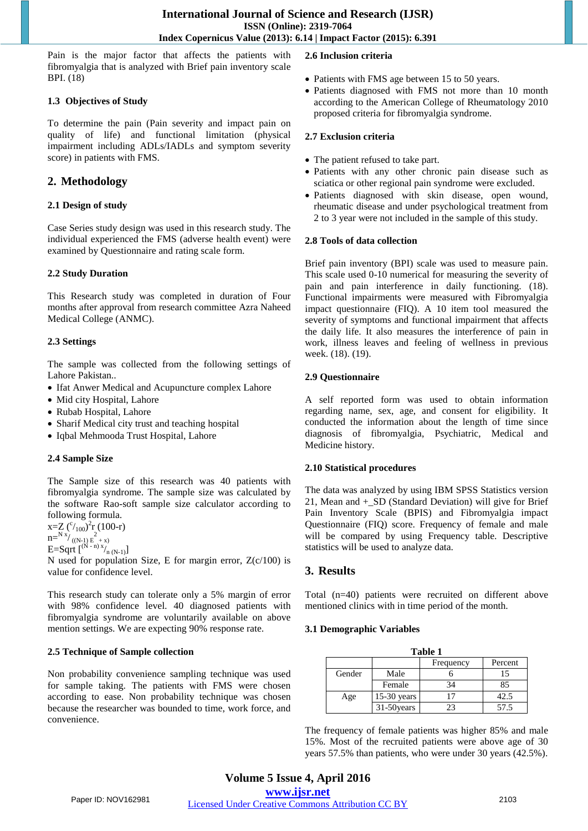Pain is the major factor that affects the patients with fibromyalgia that is analyzed with Brief pain inventory scale BPI. (18)

## **1.3 Objectives of Study**

To determine the pain (Pain severity and impact pain on quality of life) and functional limitation (physical impairment including ADLs/IADLs and symptom severity score) in patients with FMS.

# **2. Methodology**

## **2.1 Design of study**

Case Series study design was used in this research study. The individual experienced the FMS (adverse health event) were examined by Questionnaire and rating scale form.

## **2.2 Study Duration**

This Research study was completed in duration of Four months after approval from research committee Azra Naheed Medical College (ANMC).

## **2.3 Settings**

The sample was collected from the following settings of Lahore Pakistan..

- Ifat Anwer Medical and Acupuncture complex Lahore
- Mid city Hospital, Lahore
- Rubab Hospital, Lahore
- Sharif Medical city trust and teaching hospital
- Iqbal Mehmooda Trust Hospital, Lahore

## **2.4 Sample Size**

The Sample size of this research was 40 patients with fibromyalgia syndrome. The sample size was calculated by the software Rao-soft sample size calculator according to following formula.

 $x=Z({\rm c}_{100})^2r(100-r)$ 

- $n=^{N x}/ \frac{2}{((N-1) E + x)}$ <br>E=Sqrt  $\binom{(N-n)x}{n (N-1)}$
- 

N used for population Size, E for margin error,  $Z(c/100)$  is value for confidence level.

This research study can tolerate only a 5% margin of error with 98% confidence level. 40 diagnosed patients with fibromyalgia syndrome are voluntarily available on above mention settings. We are expecting 90% response rate.

## **2.5 Technique of Sample collection**

Non probability convenience sampling technique was used for sample taking. The patients with FMS were chosen according to ease. Non probability technique was chosen because the researcher was bounded to time, work force, and convenience.

## **2.6 Inclusion criteria**

- Patients with FMS age between 15 to 50 years.
- Patients diagnosed with FMS not more than 10 month according to the American College of Rheumatology 2010 proposed criteria for fibromyalgia syndrome.

## **2.7 Exclusion criteria**

- The patient refused to take part.
- Patients with any other chronic pain disease such as sciatica or other regional pain syndrome were excluded.
- Patients diagnosed with skin disease, open wound, rheumatic disease and under psychological treatment from 2 to 3 year were not included in the sample of this study.

## **2.8 Tools of data collection**

Brief pain inventory (BPI) scale was used to measure pain. This scale used 0-10 numerical for measuring the severity of pain and pain interference in daily functioning. (18). Functional impairments were measured with Fibromyalgia impact questionnaire (FIQ). A 10 item tool measured the severity of symptoms and functional impairment that affects the daily life. It also measures the interference of pain in work, illness leaves and feeling of wellness in previous week. (18). (19).

## **2.9 Questionnaire**

A self reported form was used to obtain information regarding name, sex, age, and consent for eligibility. It conducted the information about the length of time since diagnosis of fibromyalgia, Psychiatric, Medical and Medicine history.

## **2.10 Statistical procedures**

The data was analyzed by using IBM SPSS Statistics version 21, Mean and +\_SD (Standard Deviation) will give for Brief Pain Inventory Scale (BPIS) and Fibromyalgia impact Questionnaire (FIQ) score. Frequency of female and male will be compared by using Frequency table. Descriptive statistics will be used to analyze data.

# **3. Results**

Total (n=40) patients were recruited on different above mentioned clinics with in time period of the month.

## **3.1 Demographic Variables**

| Table 1 |               |           |         |  |
|---------|---------------|-----------|---------|--|
|         |               | Frequency | Percent |  |
| Gender  | Male          |           | 15      |  |
|         | Female        | 34        | 85      |  |
| Age     | $15-30$ years |           | 42.5    |  |
|         | 31-50years    | 23        | 57.5    |  |

The frequency of female patients was higher 85% and male 15%. Most of the recruited patients were above age of 30 years 57.5% than patients, who were under 30 years (42.5%).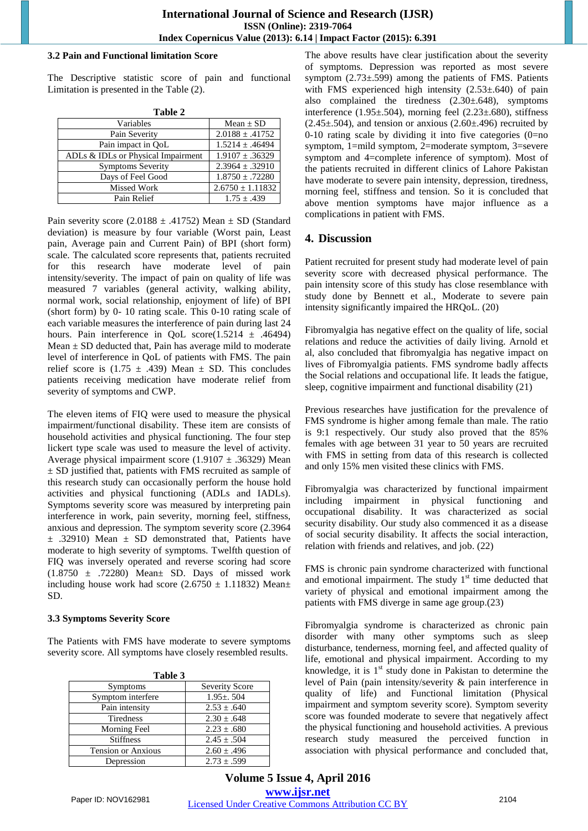#### **3.2 Pain and Functional limitation Score**

The Descriptive statistic score of pain and functional Limitation is presented in the Table (2).

| Table 2                            |                      |  |  |
|------------------------------------|----------------------|--|--|
| Variables                          | Mean $\pm$ SD        |  |  |
| Pain Severity                      | $2.0188 \pm .41752$  |  |  |
| Pain impact in QoL                 | $1.5214 \pm .46494$  |  |  |
| ADLs & IDLs or Physical Impairment | $1.9107 \pm .36329$  |  |  |
| <b>Symptoms Severity</b>           | $2.3964 \pm .32910$  |  |  |
| Days of Feel Good                  | $1.8750 \pm .72280$  |  |  |
| <b>Missed Work</b>                 | $2.6750 \pm 1.11832$ |  |  |
| Pain Relief                        | $1.75 \pm .439$      |  |  |

Pain severity score (2.0188  $\pm$  .41752) Mean  $\pm$  SD (Standard deviation) is measure by four variable (Worst pain, Least pain, Average pain and Current Pain) of BPI (short form) scale. The calculated score represents that, patients recruited for this research have moderate level of pain intensity/severity. The impact of pain on quality of life was measured 7 variables (general activity, walking ability, normal work, social relationship, enjoyment of life) of BPI (short form) by 0- 10 rating scale. This 0-10 rating scale of each variable measures the interference of pain during last 24 hours. Pain interference in QoL score $(1.5214 \pm .46494)$ Mean  $\pm$  SD deducted that, Pain has average mild to moderate level of interference in QoL of patients with FMS. The pain relief score is  $(1.75 \pm .439)$  Mean  $\pm$  SD. This concludes patients receiving medication have moderate relief from severity of symptoms and CWP.

The eleven items of FIQ were used to measure the physical impairment/functional disability. These item are consists of household activities and physical functioning. The four step lickert type scale was used to measure the level of activity. Average physical impairment score (1.9107  $\pm$  .36329) Mean  $\pm$  SD justified that, patients with FMS recruited as sample of this research study can occasionally perform the house hold activities and physical functioning (ADLs and IADLs). Symptoms severity score was measured by interpreting pain interference in work, pain severity, morning feel, stiffness, anxious and depression. The symptom severity score (2.3964  $\pm$  .32910) Mean  $\pm$  SD demonstrated that, Patients have moderate to high severity of symptoms. Twelfth question of FIQ was inversely operated and reverse scoring had score  $(1.8750 \pm .72280)$  Mean $\pm$  SD. Days of missed work including house work had score  $(2.6750 \pm 1.11832)$  Mean $\pm$ SD.

#### **3.3 Symptoms Severity Score**

The Patients with FMS have moderate to severe symptoms severity score. All symptoms have closely resembled results.

| ravit J                   |                       |  |
|---------------------------|-----------------------|--|
| Symptoms                  | <b>Severity Score</b> |  |
| Symptom interfere         | $1.95 \pm 0.504$      |  |
| Pain intensity            | $2.53 \pm .640$       |  |
| <b>Tiredness</b>          | $2.30 \pm .648$       |  |
| Morning Feel              | $2.23 \pm .680$       |  |
| <b>Stiffness</b>          | $2.45 \pm .504$       |  |
| <b>Tension or Anxious</b> | $2.60 \pm .496$       |  |
| Depression                | $2.73 + .599$         |  |

The above results have clear justification about the severity of symptoms. Depression was reported as most severe symptom (2.73±.599) among the patients of FMS. Patients with FMS experienced high intensity  $(2.53\pm.640)$  of pain also complained the tiredness (2.30±.648), symptoms interference  $(1.95\pm 0.504)$ , morning feel  $(2.23\pm 0.680)$ , stiffness  $(2.45\pm 0.504)$ , and tension or anxious  $(2.60\pm 0.496)$  recruited by 0-10 rating scale by dividing it into five categories  $(0=$ no symptom, 1=mild symptom, 2=moderate symptom, 3=severe symptom and 4=complete inference of symptom). Most of the patients recruited in different clinics of Lahore Pakistan have moderate to severe pain intensity, depression, tiredness, morning feel, stiffness and tension. So it is concluded that above mention symptoms have major influence as a complications in patient with FMS.

## **4. Discussion**

Patient recruited for present study had moderate level of pain severity score with decreased physical performance. The pain intensity score of this study has close resemblance with study done by Bennett et al., Moderate to severe pain intensity significantly impaired the HRQoL. (20)

Fibromyalgia has negative effect on the quality of life, social relations and reduce the activities of daily living. Arnold et al, also concluded that fibromyalgia has negative impact on lives of Fibromyalgia patients. FMS syndrome badly affects the Social relations and occupational life. It leads the fatigue, sleep, cognitive impairment and functional disability  $(21)$ 

Previous researches have justification for the prevalence of FMS syndrome is higher among female than male. The ratio is 9:1 respectively. Our study also proved that the 85% females with age between 31 year to 50 years are recruited with FMS in setting from data of this research is collected and only 15% men visited these clinics with FMS.

Fibromyalgia was characterized by functional impairment including impairment in physical functioning and occupational disability. It was characterized as social security disability. Our study also commenced it as a disease of social security disability. It affects the social interaction, relation with friends and relatives, and job. (22)

FMS is chronic pain syndrome characterized with functional and emotional impairment. The study  $1<sup>st</sup>$  time deducted that variety of physical and emotional impairment among the patients with FMS diverge in same age group.(23)

Fibromyalgia syndrome is characterized as chronic pain disorder with many other symptoms such as sleep disturbance, tenderness, morning feel, and affected quality of life, emotional and physical impairment. According to my knowledge, it is  $1<sup>st</sup>$  study done in Pakistan to determine the level of Pain (pain intensity/severity & pain interference in quality of life) and Functional limitation (Physical impairment and symptom severity score). Symptom severity score was founded moderate to severe that negatively affect the physical functioning and household activities. A previous research study measured the perceived function in association with physical performance and concluded that,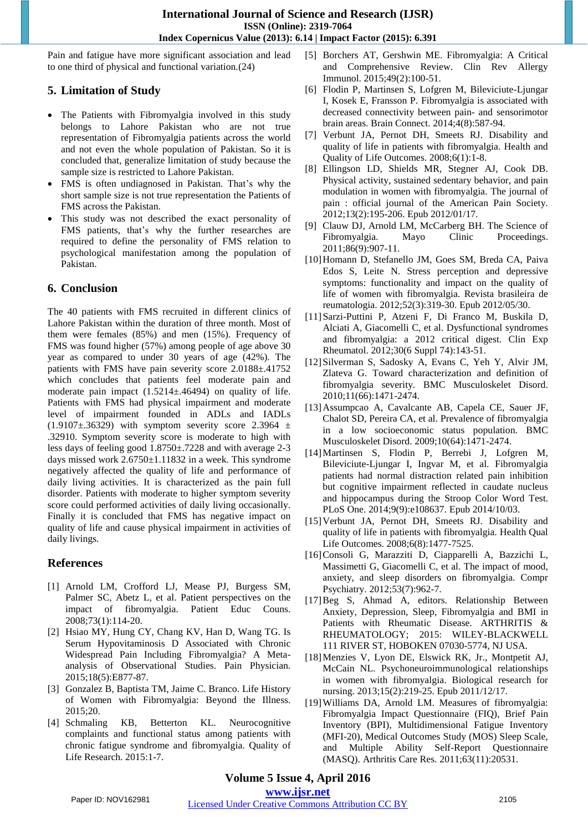Pain and fatigue have more significant association and lead to one third of physical and functional variation.(24)

# **5. Limitation of Study**

- The Patients with Fibromyalgia involved in this study belongs to Lahore Pakistan who are not true representation of Fibromyalgia patients across the world and not even the whole population of Pakistan. So it is concluded that, generalize limitation of study because the sample size is restricted to Lahore Pakistan.
- FMS is often undiagnosed in Pakistan. That's why the short sample size is not true representation the Patients of FMS across the Pakistan.
- This study was not described the exact personality of FMS patients, that's why the further researches are required to define the personality of FMS relation to psychological manifestation among the population of Pakistan.

# **6. Conclusion**

The 40 patients with FMS recruited in different clinics of Lahore Pakistan within the duration of three month. Most of them were females (85%) and men (15%). Frequency of FMS was found higher (57%) among people of age above 30 year as compared to under 30 years of age (42%). The patients with FMS have pain severity score 2.0188±.41752 which concludes that patients feel moderate pain and moderate pain impact (1.5214±.46494) on quality of life. Patients with FMS had physical impairment and moderate level of impairment founded in ADLs and IADLs  $(1.9107\pm.36329)$  with symptom severity score 2.3964  $\pm$ .32910. Symptom severity score is moderate to high with less days of feeling good 1.8750±.7228 and with average 2-3 days missed work 2.6750±1.11832 in a week. This syndrome negatively affected the quality of life and performance of daily living activities. It is characterized as the pain full disorder. Patients with moderate to higher symptom severity score could performed activities of daily living occasionally. Finally it is concluded that FMS has negative impact on quality of life and cause physical impairment in activities of daily livings.

# **References**

- [1] Arnold LM, Crofford LJ, Mease PJ, Burgess SM, Palmer SC, Abetz L, et al. Patient perspectives on the impact of fibromyalgia. Patient Educ Couns. 2008;73(1):114-20.
- [2] Hsiao MY, Hung CY, Chang KV, Han D, Wang TG. Is Serum Hypovitaminosis D Associated with Chronic Widespread Pain Including Fibromyalgia? A Metaanalysis of Observational Studies. Pain Physician. 2015;18(5):E877-87.
- [3] Gonzalez B, Baptista TM, Jaime C. Branco. Life History of Women with Fibromyalgia: Beyond the Illness. 2015;20.
- [4] Schmaling KB, Betterton KL. Neurocognitive complaints and functional status among patients with chronic fatigue syndrome and fibromyalgia. Quality of Life Research. 2015:1-7.
- [5] Borchers AT, Gershwin ME. Fibromyalgia: A Critical and Comprehensive Review. Clin Rev Allergy Immunol. 2015;49(2):100-51.
- [6] Flodin P, Martinsen S, Lofgren M, Bileviciute-Ljungar I, Kosek E, Fransson P. Fibromyalgia is associated with decreased connectivity between pain- and sensorimotor brain areas. Brain Connect. 2014;4(8):587-94.
- [7] Verbunt JA, Pernot DH, Smeets RJ. Disability and quality of life in patients with fibromyalgia. Health and Quality of Life Outcomes. 2008;6(1):1-8.
- [8] Ellingson LD, Shields MR, Stegner AJ, Cook DB. Physical activity, sustained sedentary behavior, and pain modulation in women with fibromyalgia. The journal of pain : official journal of the American Pain Society. 2012;13(2):195-206. Epub 2012/01/17.
- [9] Clauw DJ, Arnold LM, McCarberg BH. The Science of Fibromyalgia. Mayo Clinic Proceedings. 2011;86(9):907-11.
- [10] Homann D, Stefanello JM, Goes SM, Breda CA, Paiva Edos S, Leite N. Stress perception and depressive symptoms: functionality and impact on the quality of life of women with fibromyalgia. Revista brasileira de reumatologia. 2012;52(3):319-30. Epub 2012/05/30.
- [11]Sarzi-Puttini P, Atzeni F, Di Franco M, Buskila D, Alciati A, Giacomelli C, et al. Dysfunctional syndromes and fibromyalgia: a 2012 critical digest. Clin Exp Rheumatol. 2012;30(6 Suppl 74):143-51.
- [12]Silverman S, Sadosky A, Evans C, Yeh Y, Alvir JM, Zlateva G. Toward characterization and definition of fibromyalgia severity. BMC Musculoskelet Disord. 2010;11(66):1471-2474.
- [13]Assumpcao A, Cavalcante AB, Capela CE, Sauer JF, Chalot SD, Pereira CA, et al. Prevalence of fibromyalgia in a low socioeconomic status population. BMC Musculoskelet Disord. 2009;10(64):1471-2474.
- [14]Martinsen S, Flodin P, Berrebi J, Lofgren M, Bileviciute-Ljungar I, Ingvar M, et al. Fibromyalgia patients had normal distraction related pain inhibition but cognitive impairment reflected in caudate nucleus and hippocampus during the Stroop Color Word Test. PLoS One. 2014;9(9):e108637. Epub 2014/10/03.
- [15] Verbunt JA, Pernot DH, Smeets RJ. Disability and quality of life in patients with fibromyalgia. Health Qual Life Outcomes. 2008;6(8):1477-7525.
- [16] Consoli G, Marazziti D, Ciapparelli A, Bazzichi L, Massimetti G, Giacomelli C, et al. The impact of mood, anxiety, and sleep disorders on fibromyalgia. Compr Psychiatry. 2012;53(7):962-7.
- [17]Beg S, Ahmad A, editors. Relationship Between Anxiety, Depression, Sleep, Fibromyalgia and BMI in Patients with Rheumatic Disease. ARTHRITIS & RHEUMATOLOGY; 2015: WILEY-BLACKWELL 111 RIVER ST, HOBOKEN 07030-5774, NJ USA.
- [18]Menzies V, Lyon DE, Elswick RK, Jr., Montpetit AJ, McCain NL. Psychoneuroimmunological relationships in women with fibromyalgia. Biological research for nursing. 2013;15(2):219-25. Epub 2011/12/17.
- [19]Williams DA, Arnold LM. Measures of fibromyalgia: Fibromyalgia Impact Questionnaire (FIQ), Brief Pain Inventory (BPI), Multidimensional Fatigue Inventory (MFI-20), Medical Outcomes Study (MOS) Sleep Scale, and Multiple Ability Self-Report Questionnaire (MASQ). Arthritis Care Res. 2011;63(11):20531.